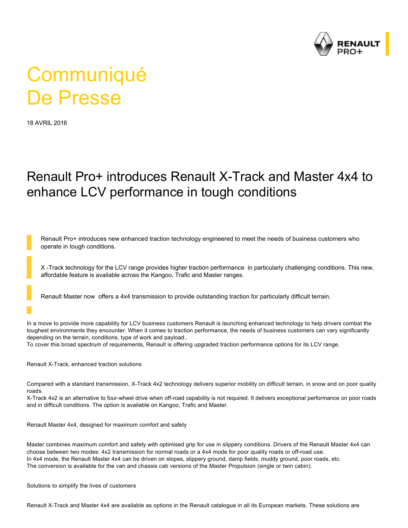

## **Communiqué** De Presse

18 AVRIL 2016

## Renault Pro+ introduces Renault X-Track and Master 4x4 to enhance LCV performance in tough conditions

Renault Pro+ introduces new enhanced traction technology engineered to meet the needs of business customers who operate in tough conditions.

X-Track technology for the LCV range provides higher traction performance in particularly challenging conditions. This new, affordable feature is available across the Kangoo, Trafic and Master ranges.

Renault Master now offers a 4x4 transmission to provide outstanding traction for particularly difficult terrain.

In a move to provide more capability for LCV business customers Renault is launching enhanced technology to help drivers combat the toughest environments they encounter. When it comes to traction performance, the needs of business customers can vary significantly depending on the terrain, conditions, type of work and payload..

To cover this broad spectrum of requirements, Renault is offering upgraded traction performance options for its LCV range.

Renault X-Track, enhanced traction solutions

Compared with a standard transmission, X-Track 4x2 technology delivers superior mobility on difficult terrain, in snow and on poor quality roads.

X-Track 4x2 is an alternative to four-wheel drive when off-road capability is not required. It delivers exceptional performance on poor roads and in difficult conditions. The option is available on Kangoo, Trafic and Master.

Renault Master 4x4, designed for maximum comfort and safety

Master combines maximum comfort and safety with optimised grip for use in slippery conditions. Drivers of the Renault Master 4x4 can choose between two modes: 4x2 transmission for normal roads or a 4x4 mode for poor quality roads or off-road use. In 4x4 mode, the Renault Master 4x4 can be driven on slopes, slippery ground, damp fields, muddy ground, poor roads, etc. The conversion is available for the van and chassis cab versions of the Master Propulsion (single or twin cabin).

Solutions to simplify the lives of customers

Renault X-Track and Master 4x4 are available as options in the Renault catalogue in all its European markets. These solutions are